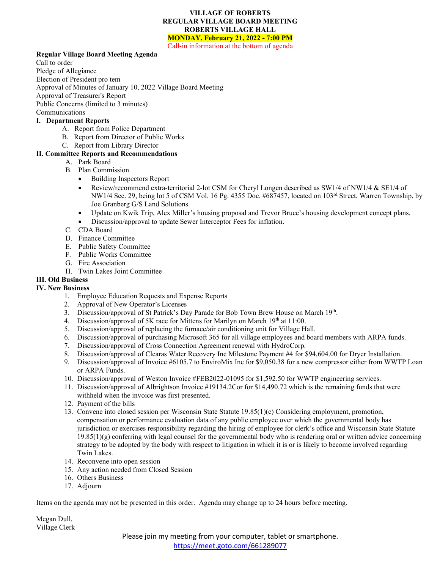### **VILLAGE OF ROBERTS REGULAR VILLAGE BOARD MEETING ROBERTS VILLAGE HALL MONDAY, February 21, 2022 - 7:00 PM**

Call-in information at the bottom of agenda

### **Regular Village Board Meeting Agenda**

Call to order

Pledge of Allegiance

Election of President pro tem

Approval of Minutes of January 10, 2022 Village Board Meeting

Approval of Treasurer's Report

Public Concerns (limited to 3 minutes)

Communications

# **I. Department Reports**

- A. Report from Police Department
- B. Report from Director of Public Works
- C. Report from Library Director

## **II. Committee Reports and Recommendations**

- A. Park Board
- B. Plan Commission
	- Building Inspectors Report
	- Review/recommend extra-territorial 2-lot CSM for Cheryl Longen described as SW1/4 of NW1/4 & SE1/4 of NW1/4 Sec. 29, being lot 5 of CSM Vol. 16 Pg. 4355 Doc. #687457, located on 103<sup>rd</sup> Street, Warren Township, by Joe Granberg G/S Land Solutions.
	- Update on Kwik Trip, Alex Miller's housing proposal and Trevor Bruce's housing development concept plans.
	- Discussion/approval to update Sewer Interceptor Fees for inflation.
- C. CDA Board
- D. Finance Committee
- E. Public Safety Committee
- F. Public Works Committee
- G. Fire Association
- H. Twin Lakes Joint Committee

### **III. Old Business**

## **IV. New Business**

- 1. Employee Education Requests and Expense Reports
- 2. Approval of New Operator's Licenses
- 3. Discussion/approval of St Patrick's Day Parade for Bob Town Brew House on March 19th.
- 4. Discussion/approval of 5K race for Mittens for Marilyn on March  $19<sup>th</sup>$  at 11:00.
- 5. Discussion/approval of replacing the furnace/air conditioning unit for Village Hall.
- 6. Discussion/approval of purchasing Microsoft 365 for all village employees and board members with ARPA funds.
- 7. Discussion/approval of Cross Connection Agreement renewal with HydroCorp.
- 8. Discussion/approval of Clearas Water Recovery Inc Milestone Payment #4 for \$94,604.00 for Dryer Installation.
- 9. Discussion/approval of Invoice #6105.7 to EnviroMix Inc for \$9,050.38 for a new compressor either from WWTP Loan or ARPA Funds.
- 10. Discussion/approval of Weston Invoice #FEB2022-01095 for \$1,592.50 for WWTP engineering services.
- 11. Discussion/approval of Albrightson Invoice #19134.2Cor for \$14,490.72 which is the remaining funds that were withheld when the invoice was first presented.
- 12. Payment of the bills
- 13. Convene into closed session per Wisconsin State Statute 19.85(1)(c) Considering employment, promotion, compensation or performance evaluation data of any public employee over which the governmental body has jurisdiction or exercises responsibility regarding the hiring of employee for clerk's office and Wisconsin State Statute  $19.85(1)(g)$  conferring with legal counsel for the governmental body who is rendering oral or written advice concerning strategy to be adopted by the body with respect to litigation in which it is or is likely to become involved regarding Twin Lakes.
- 14. Reconvene into open session
- 15. Any action needed from Closed Session
- 16. Others Business
- 17. Adjourn

Items on the agenda may not be presented in this order. Agenda may change up to 24 hours before meeting.

Megan Dull, Village Clerk

> Please join my meeting from your computer, tablet or smartphone. <https://meet.goto.com/661289077>